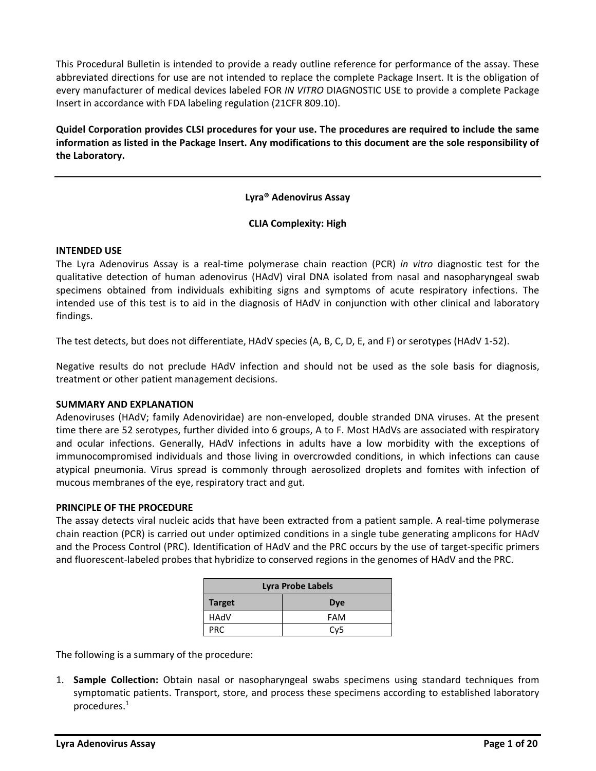This Procedural Bulletin is intended to provide a ready outline reference for performance of the assay. These abbreviated directions for use are not intended to replace the complete Package Insert. It is the obligation of every manufacturer of medical devices labeled FOR *IN VITRO* DIAGNOSTIC USE to provide a complete Package Insert in accordance with FDA labeling regulation (21CFR 809.10).

**Quidel Corporation provides CLSI procedures for your use. The procedures are required to include the same information as listed in the Package Insert. Any modifications to this document are the sole responsibility of the Laboratory.**

## **Lyra® Adenovirus Assay**

### **CLIA Complexity: High**

#### **INTENDED USE**

The Lyra Adenovirus Assay is a real‐time polymerase chain reaction (PCR) *in vitro* diagnostic test for the qualitative detection of human adenovirus (HAdV) viral DNA isolated from nasal and nasopharyngeal swab specimens obtained from individuals exhibiting signs and symptoms of acute respiratory infections. The intended use of this test is to aid in the diagnosis of HAdV in conjunction with other clinical and laboratory findings.

The test detects, but does not differentiate, HAdV species (A, B, C, D, E, and F) or serotypes (HAdV 1-52).

Negative results do not preclude HAdV infection and should not be used as the sole basis for diagnosis, treatment or other patient management decisions.

## **SUMMARY AND EXPLANATION**

Adenoviruses (HAdV; family Adenoviridae) are non-enveloped, double stranded DNA viruses. At the present time there are 52 serotypes, further divided into 6 groups, A to F. Most HAdVs are associated with respiratory and ocular infections. Generally, HAdV infections in adults have a low morbidity with the exceptions of immunocompromised individuals and those living in overcrowded conditions, in which infections can cause atypical pneumonia. Virus spread is commonly through aerosolized droplets and fomites with infection of mucous membranes of the eye, respiratory tract and gut.

#### **PRINCIPLE OF THE PROCEDURE**

The assay detects viral nucleic acids that have been extracted from a patient sample. A real-time polymerase chain reaction (PCR) is carried out under optimized conditions in a single tube generating amplicons for HAdV and the Process Control (PRC). Identification of HAdV and the PRC occurs by the use of target-specific primers and fluorescent-labeled probes that hybridize to conserved regions in the genomes of HAdV and the PRC.

| <b>Lyra Probe Labels</b>    |                 |  |
|-----------------------------|-----------------|--|
| <b>Target</b><br><b>Dye</b> |                 |  |
| HAdV                        | <b>FAM</b>      |  |
| PRC.                        | Cv <sub>5</sub> |  |

The following is a summary of the procedure:

1. **Sample Collection:** Obtain nasal or nasopharyngeal swabs specimens using standard techniques from symptomatic patients. Transport, store, and process these specimens according to established laboratory procedures.1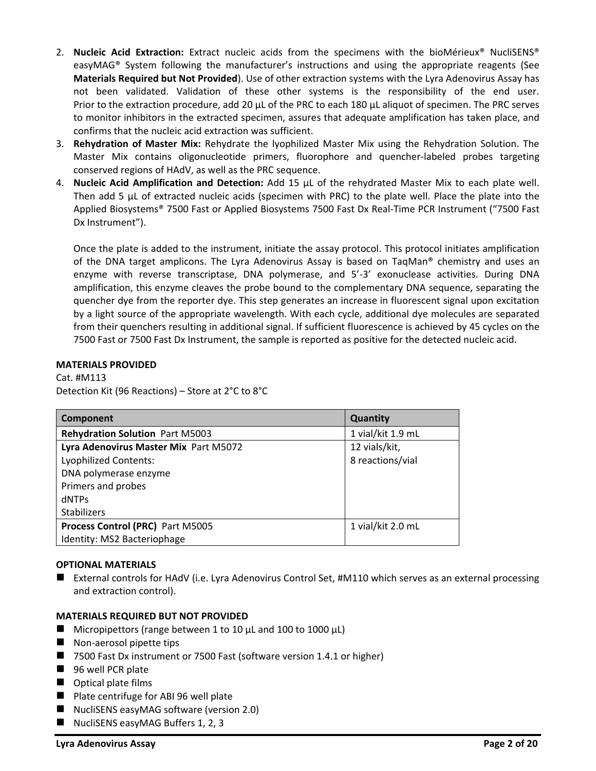- 2. **Nucleic Acid Extraction:** Extract nucleic acids from the specimens with the bioMérieux® NucliSENS® easyMAG® System following the manufacturer's instructions and using the appropriate reagents (See **Materials Required but Not Provided**). Use of other extraction systems with the Lyra Adenovirus Assay has not been validated. Validation of these other systems is the responsibility of the end user. Prior to the extraction procedure, add 20 µL of the PRC to each 180 µL aliquot of specimen. The PRC serves to monitor inhibitors in the extracted specimen, assures that adequate amplification has taken place, and confirms that the nucleic acid extraction was sufficient.
- 3. **Rehydration of Master Mix:** Rehydrate the lyophilized Master Mix using the Rehydration Solution. The Master Mix contains oligonucleotide primers, fluorophore and quencher-labeled probes targeting conserved regions of HAdV, as well as the PRC sequence.
- 4. **Nucleic Acid Amplification and Detection:** Add 15 µL of the rehydrated Master Mix to each plate well. Then add 5 µL of extracted nucleic acids (specimen with PRC) to the plate well. Place the plate into the Applied Biosystems® 7500 Fast or Applied Biosystems 7500 Fast Dx Real-Time PCR Instrument ("7500 Fast Dx Instrument").

Once the plate is added to the instrument, initiate the assay protocol. This protocol initiates amplification of the DNA target amplicons. The Lyra Adenovirus Assay is based on TaqMan® chemistry and uses an enzyme with reverse transcriptase, DNA polymerase, and 5'-3' exonuclease activities. During DNA amplification, this enzyme cleaves the probe bound to the complementary DNA sequence, separating the quencher dye from the reporter dye. This step generates an increase in fluorescent signal upon excitation by a light source of the appropriate wavelength. With each cycle, additional dye molecules are separated from their quenchers resulting in additional signal. If sufficient fluorescence is achieved by 45 cycles on the 7500 Fast or 7500 Fast Dx Instrument, the sample is reported as positive for the detected nucleic acid.

## **MATERIALS PROVIDED**

Cat. #M113 Detection Kit (96 Reactions) – Store at 2°C to 8°C

| Component                              | Quantity          |
|----------------------------------------|-------------------|
| <b>Rehydration Solution Part M5003</b> | 1 vial/kit 1.9 mL |
| Lyra Adenovirus Master Mix Part M5072  | 12 vials/kit,     |
| <b>Lyophilized Contents:</b>           | 8 reactions/vial  |
| DNA polymerase enzyme                  |                   |
| Primers and probes                     |                   |
| <b>dNTPs</b>                           |                   |
| <b>Stabilizers</b>                     |                   |
| Process Control (PRC) Part M5005       | 1 vial/kit 2.0 mL |
| Identity: MS2 Bacteriophage            |                   |

## **OPTIONAL MATERIALS**

■ External controls for HAdV (i.e. Lyra Adenovirus Control Set, #M110 which serves as an external processing and extraction control).

## **MATERIALS REQUIRED BUT NOT PROVIDED**

- $\blacksquare$  Micropipettors (range between 1 to 10  $\mu$ L and 100 to 1000  $\mu$ L)
- Non-aerosol pipette tips
- 7500 Fast Dx instrument or 7500 Fast (software version 1.4.1 or higher)
- 96 well PCR plate
- Optical plate films
- Plate centrifuge for ABI 96 well plate
- NucliSENS easyMAG software (version 2.0)
- NucliSENS easyMAG Buffers 1, 2, 3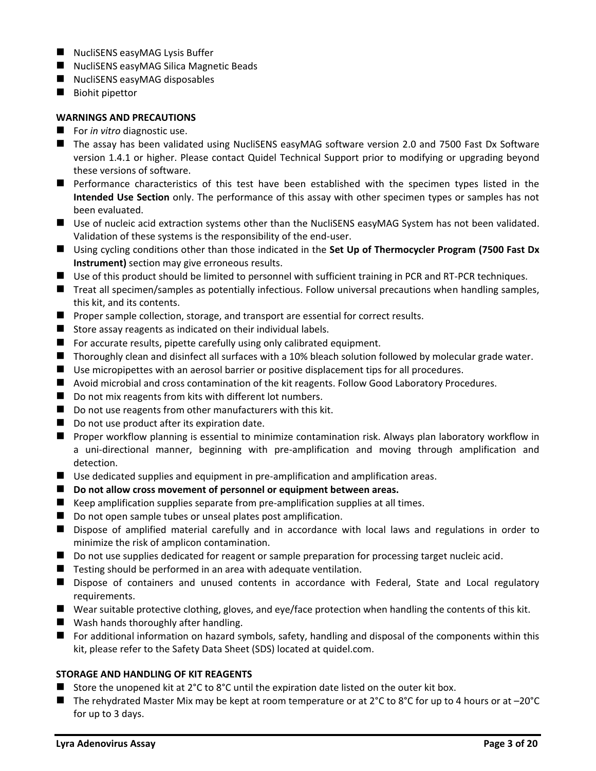- NucliSENS easyMAG Lysis Buffer
- NucliSENS easyMAG Silica Magnetic Beads
- NucliSENS easyMAG disposables
- Biohit pipettor

## **WARNINGS AND PRECAUTIONS**

- For *in vitro* diagnostic use.
- The assay has been validated using NucliSENS easyMAG software version 2.0 and 7500 Fast Dx Software version 1.4.1 or higher. Please contact Quidel Technical Support prior to modifying or upgrading beyond these versions of software.
- Performance characteristics of this test have been established with the specimen types listed in the **Intended Use Section** only. The performance of this assay with other specimen types or samples has not been evaluated.
- Use of nucleic acid extraction systems other than the NucliSENS easyMAG System has not been validated. Validation of these systems is the responsibility of the end-user.
- ◼ Using cycling conditions other than those indicated in the **Set Up of Thermocycler Program (7500 Fast Dx Instrument)** section may give erroneous results.
- Use of this product should be limited to personnel with sufficient training in PCR and RT-PCR techniques.
- Treat all specimen/samples as potentially infectious. Follow universal precautions when handling samples, this kit, and its contents.
- Proper sample collection, storage, and transport are essential for correct results.
- Store assay reagents as indicated on their individual labels.
- For accurate results, pipette carefully using only calibrated equipment.
- Thoroughly clean and disinfect all surfaces with a 10% bleach solution followed by molecular grade water.
- Use micropipettes with an aerosol barrier or positive displacement tips for all procedures.
- Avoid microbial and cross contamination of the kit reagents. Follow Good Laboratory Procedures.
- Do not mix reagents from kits with different lot numbers.
- Do not use reagents from other manufacturers with this kit.
- Do not use product after its expiration date.
- Proper workflow planning is essential to minimize contamination risk. Always plan laboratory workflow in a uni-directional manner, beginning with pre-amplification and moving through amplification and detection.
- Use dedicated supplies and equipment in pre-amplification and amplification areas.
- **Do not allow cross movement of personnel or equipment between areas.**
- Keep amplification supplies separate from pre-amplification supplies at all times.
- Do not open sample tubes or unseal plates post amplification.
- Dispose of amplified material carefully and in accordance with local laws and regulations in order to minimize the risk of amplicon contamination.
- Do not use supplies dedicated for reagent or sample preparation for processing target nucleic acid.
- $\blacksquare$  Testing should be performed in an area with adequate ventilation.
- Dispose of containers and unused contents in accordance with Federal, State and Local regulatory requirements.
- Wear suitable protective clothing, gloves, and eye/face protection when handling the contents of this kit.
- Wash hands thoroughly after handling.
- For additional information on hazard symbols, safety, handling and disposal of the components within this kit, please refer to the Safety Data Sheet (SDS) located at quidel.com.

# **STORAGE AND HANDLING OF KIT REAGENTS**

- Store the unopened kit at  $2^{\circ}$ C to  $8^{\circ}$ C until the expiration date listed on the outer kit box.
- The rehydrated Master Mix may be kept at room temperature or at 2°C to 8°C for up to 4 hours or at -20°C for up to 3 days.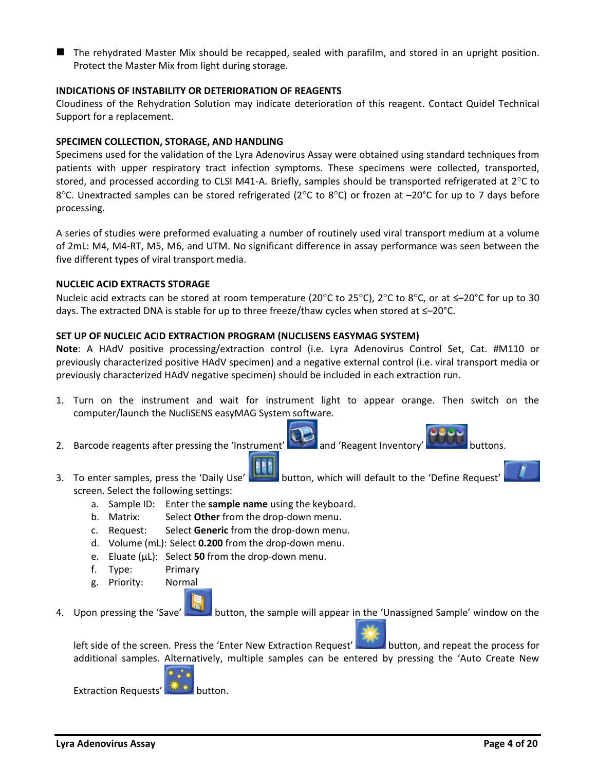■ The rehydrated Master Mix should be recapped, sealed with parafilm, and stored in an upright position. Protect the Master Mix from light during storage.

### **INDICATIONS OF INSTABILITY OR DETERIORATION OF REAGENTS**

Cloudiness of the Rehydration Solution may indicate deterioration of this reagent. Contact Quidel Technical Support for a replacement.

### **SPECIMEN COLLECTION, STORAGE, AND HANDLING**

Specimens used for the validation of the Lyra Adenovirus Assay were obtained using standard techniques from patients with upper respiratory tract infection symptoms. These specimens were collected, transported, stored, and processed according to CLSI M41-A. Briefly, samples should be transported refrigerated at  $2^{\circ}$ C to 8°C. Unextracted samples can be stored refrigerated (2°C to 8°C) or frozen at  $-20^{\circ}$ C for up to 7 days before processing.

A series of studies were preformed evaluating a number of routinely used viral transport medium at a volume of 2mL: M4, M4-RT, M5, M6, and UTM. No significant difference in assay performance was seen between the five different types of viral transport media.

### **NUCLEIC ACID EXTRACTS STORAGE**

Nucleic acid extracts can be stored at room temperature (20 $^{\circ}$ C to 25 $^{\circ}$ C), 2 $^{\circ}$ C to 8 $^{\circ}$ C, or at ≤–20 $^{\circ}$ C for up to 30 days. The extracted DNA is stable for up to three freeze/thaw cycles when stored at ≤–20°C.

### **SET UP OF NUCLEIC ACID EXTRACTION PROGRAM (NUCLISENS EASYMAG SYSTEM)**

**Note**: A HAdV positive processing/extraction control (i.e. Lyra Adenovirus Control Set, Cat. #M110 or previously characterized positive HAdV specimen) and a negative external control (i.e. viral transport media or previously characterized HAdV negative specimen) should be included in each extraction run.

- 1. Turn on the instrument and wait for instrument light to appear orange. Then switch on the computer/launch the NucliSENS easyMAG System software.
- 2. Barcode reagents after pressing the 'Instrument' and 'Reagent Inventory' buttons.

- 3. To enter samples, press the 'Daily Use' button, which will default to the 'Define Request' screen. Select the following settings:
	- a. Sample ID: Enter the **sample name** using the keyboard.
	- b. Matrix: Select **Other** from the drop-down menu.
	- c. Request: Select **Generic** from the drop-down menu.
	- d. Volume (mL): Select **0.200** from the drop-down menu.
	- e. Eluate (µL): Select **50** from the drop-down menu.
	- f. Type: Primary
	- g. Priority: Normal
- 4. Upon pressing the 'Save' button, the sample will appear in the 'Unassigned Sample' window on the

left side of the screen. Press the 'Enter New Extraction Request' button, and repeat the process for additional samples. Alternatively, multiple samples can be entered by pressing the 'Auto Create New



Extraction Requests' **Extraction.**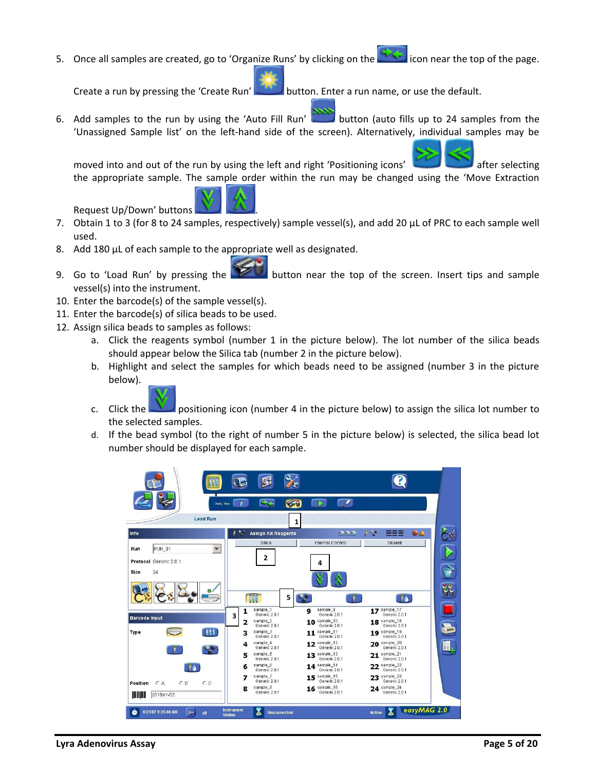5. Once all samples are created, go to 'Organize Runs' by clicking on the intermedicon near the top of the page.

Create a run by pressing the 'Create Run' button. Enter a run name, or use the default.

6. Add samples to the run by using the 'Auto Fill Run' button (auto fills up to 24 samples from the 'Unassigned Sample list' on the left-hand side of the screen). Alternatively, individual samples may be

moved into and out of the run by using the left and right 'Positioning icons' after selecting the appropriate sample. The sample order within the run may be changed using the 'Move Extraction

Request Up/Down' buttons .

- 7. Obtain 1 to 3 (for 8 to 24 samples, respectively) sample vessel(s), and add 20 µL of PRC to each sample well used.
- 8. Add 180 µL of each sample to the appropriate well as designated.
- 9. Go to 'Load Run' by pressing the button near the top of the screen. Insert tips and sample vessel(s) into the instrument.
- 10. Enter the barcode(s) of the sample vessel(s).
- 11. Enter the barcode(s) of silica beads to be used.
- 12. Assign silica beads to samples as follows:
	- a. Click the reagents symbol (number 1 in the picture below). The lot number of the silica beads should appear below the Silica tab (number 2 in the picture below).
	- b. Highlight and select the samples for which beads need to be assigned (number 3 in the picture below).



- c. Click the positioning icon (number 4 in the picture below) to assign the silica lot number to the selected samples.
- d. If the bead symbol (to the right of number 5 in the picture below) is selected, the silica bead lot number should be displayed for each sample.

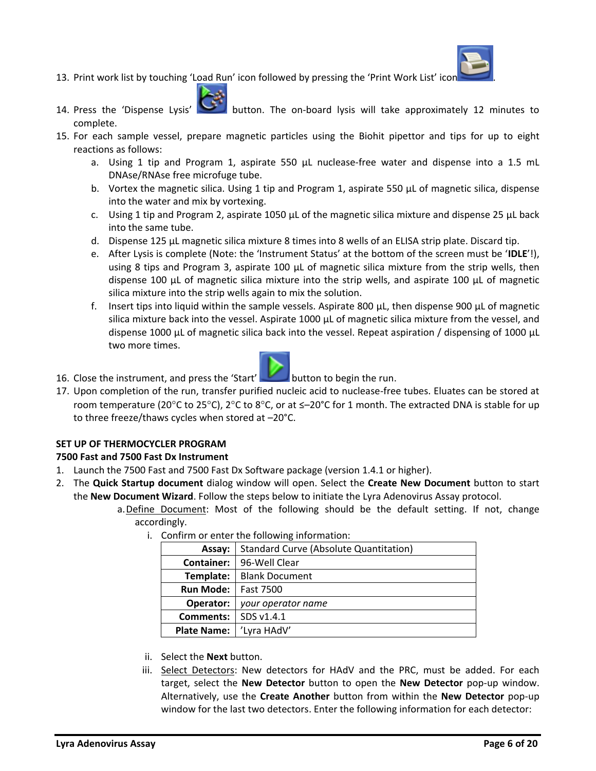

- 13. Print work list by touching 'Load Run' icon followed by pressing the 'Print Work List' icon .
- 14. Press the 'Dispense Lysis' button. The on-board lysis will take approximately 12 minutes to complete.
- 15. For each sample vessel, prepare magnetic particles using the Biohit pipettor and tips for up to eight reactions as follows:
	- a. Using 1 tip and Program 1, aspirate 550 µL nuclease-free water and dispense into a 1.5 mL DNAse/RNAse free microfuge tube.
	- b. Vortex the magnetic silica. Using 1 tip and Program 1, aspirate 550 µL of magnetic silica, dispense into the water and mix by vortexing.
	- c. Using 1 tip and Program 2, aspirate 1050  $\mu$ L of the magnetic silica mixture and dispense 25  $\mu$ L back into the same tube.
	- d. Dispense 125 µL magnetic silica mixture 8 times into 8 wells of an ELISA strip plate. Discard tip.
	- e. After Lysis is complete (Note: the 'Instrument Status' at the bottom of the screen must be '**IDLE**'!), using 8 tips and Program 3, aspirate 100 µL of magnetic silica mixture from the strip wells, then dispense 100 µL of magnetic silica mixture into the strip wells, and aspirate 100 µL of magnetic silica mixture into the strip wells again to mix the solution.
	- f. Insert tips into liquid within the sample vessels. Aspirate 800  $\mu$ L, then dispense 900  $\mu$ L of magnetic silica mixture back into the vessel. Aspirate 1000 µL of magnetic silica mixture from the vessel, and dispense 1000 µL of magnetic silica back into the vessel. Repeat aspiration / dispensing of 1000 µL two more times.



- 16. Close the instrument, and press the 'Start' button to begin the run.
- 17. Upon completion of the run, transfer purified nucleic acid to nuclease-free tubes. Eluates can be stored at room temperature (20°C to 25°C), 2°C to 8°C, or at  $\leq$ -20°C for 1 month. The extracted DNA is stable for up to three freeze/thaws cycles when stored at –20°C.

## **SET UP OF THERMOCYCLER PROGRAM**

## **7500 Fast and 7500 Fast Dx Instrument**

- 1. Launch the 7500 Fast and 7500 Fast Dx Software package (version 1.4.1 or higher).
- 2. The **Quick Startup document** dialog window will open. Select the **Create New Document** button to start the **New Document Wizard**. Follow the steps below to initiate the Lyra Adenovirus Assay protocol.
	- a.Define Document: Most of the following should be the default setting. If not, change accordingly.
		- i. Confirm or enter the following information:

| Assay:             | <b>Standard Curve (Absolute Quantitation)</b> |  |
|--------------------|-----------------------------------------------|--|
| <b>Container:</b>  | 96-Well Clear                                 |  |
| Template:          | <b>Blank Document</b>                         |  |
| <b>Run Mode:</b>   | <b>Fast 7500</b>                              |  |
| Operator:          | your operator name                            |  |
| <b>Comments:</b>   | SDS v1.4.1                                    |  |
| <b>Plate Name:</b> | 'Lyra HAdV'                                   |  |

- ii. Select the **Next** button.
- iii. Select Detectors: New detectors for HAdV and the PRC, must be added. For each target, select the **New Detector** button to open the **New Detector** pop-up window. Alternatively, use the **Create Another** button from within the **New Detector** pop-up window for the last two detectors. Enter the following information for each detector: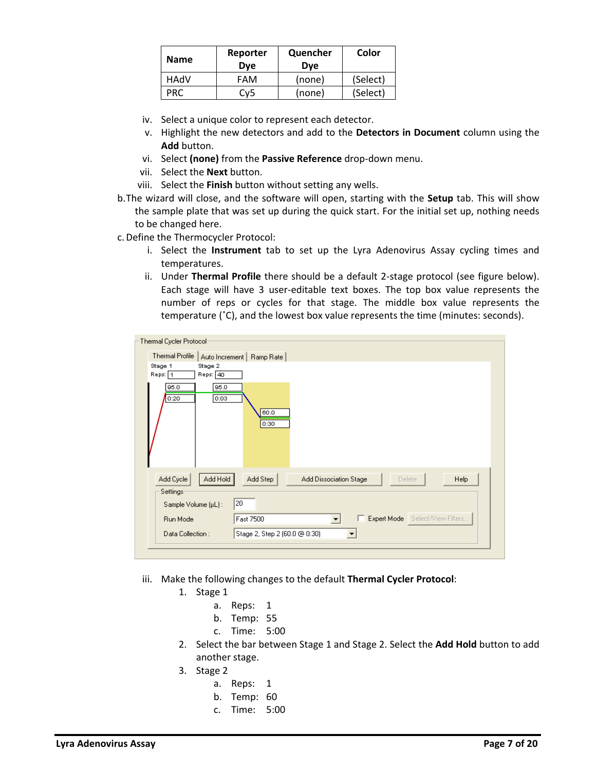| <b>Name</b> | Reporter<br><b>Dve</b> | Quencher<br><b>Dve</b> | Color    |
|-------------|------------------------|------------------------|----------|
| HAdV        | FAM                    | (none)                 | (Select) |
| PRC.        | Cy5                    | (none)                 | (Select) |

- iv. Select a unique color to represent each detector.
- v. Highlight the new detectors and add to the **Detectors in Document** column using the **Add** button.
- vi. Select **(none)** from the **Passive Reference** drop-down menu.
- vii. Select the **Next** button.
- viii. Select the **Finish** button without setting any wells.
- b.The wizard will close, and the software will open, starting with the **Setup** tab. This will show the sample plate that was set up during the quick start. For the initial set up, nothing needs to be changed here.
- c.Define the Thermocycler Protocol:
	- i. Select the **Instrument** tab to set up the Lyra Adenovirus Assay cycling times and temperatures.
	- ii. Under **Thermal Profile** there should be a default 2-stage protocol (see figure below). Each stage will have 3 user-editable text boxes. The top box value represents the number of reps or cycles for that stage. The middle box value represents the temperature (˚C), and the lowest box value represents the time (minutes: seconds).

| Thermal Cycler Protocol                   |                                                                        |
|-------------------------------------------|------------------------------------------------------------------------|
| <b>Thermal Profile</b>                    | Auto Increment   Ramp Rate                                             |
| Stage 1<br>Stage 2<br>Reps: 1<br>Reps: 40 |                                                                        |
| 95.0<br>95.0<br>0:03<br>0:20              | 60.0<br>0:30                                                           |
| Add Hold<br>Add Cycle<br>Settings         | Add Step<br>Add Dissociation Stage<br>Help<br><b>Delete</b>            |
| Sample Volume (µL):                       | 20                                                                     |
| Run Mode                                  | E Expert Mode Select/View Filters<br>Fast 7500<br>$\blacktriangledown$ |
| Data Collection:                          | Stage 2, Step 2 (60.0 @ 0:30)                                          |
|                                           |                                                                        |

- iii. Make the following changes to the default **Thermal Cycler Protocol**:
	- 1. Stage 1
		- a. Reps: 1
		- b. Temp: 55
		- c. Time: 5:00
	- 2. Select the bar between Stage 1 and Stage 2. Select the **Add Hold** button to add another stage.
	- 3. Stage 2
		- a. Reps: 1
		- b. Temp: 60
		- c. Time: 5:00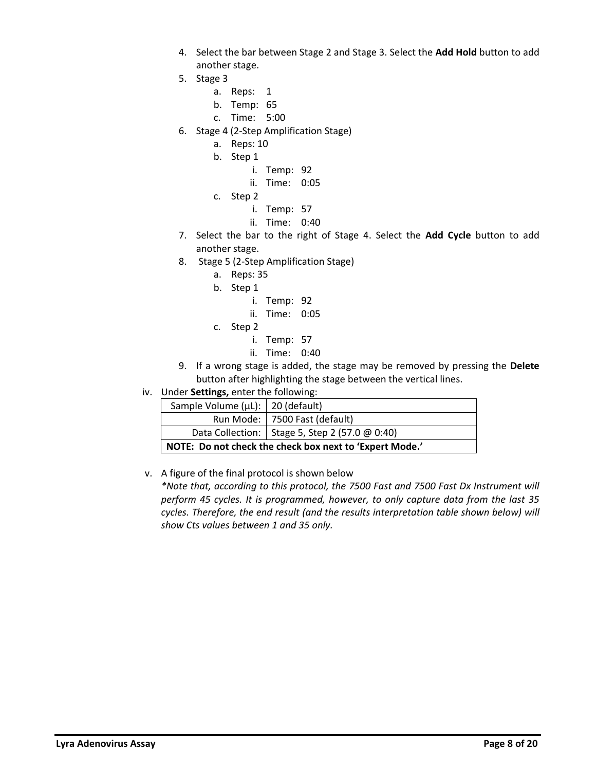- 4. Select the bar between Stage 2 and Stage 3. Select the **Add Hold** button to add another stage.
- 5. Stage 3
	- a. Reps: 1
	- b. Temp: 65
	- c. Time: 5:00
- 6. Stage 4 (2-Step Amplification Stage)
	- a. Reps: 10
	- b. Step 1
		- i. Temp: 92
		- ii. Time: 0:05
	- c. Step 2
		- i. Temp: 57
		- ii. Time: 0:40
- 7. Select the bar to the right of Stage 4. Select the **Add Cycle** button to add another stage.
- 8. Stage 5 (2-Step Amplification Stage)
	- a. Reps: 35
	- b. Step 1
		- i. Temp: 92
		- ii. Time: 0:05
	- c. Step 2
		- i. Temp: 57
		- ii. Time: 0:40
- 9. If a wrong stage is added, the stage may be removed by pressing the **Delete** button after highlighting the stage between the vertical lines.
- iv. Under **Settings,** enter the following:

| Sample Volume (µL):   20 (default)                      |                                                  |  |
|---------------------------------------------------------|--------------------------------------------------|--|
|                                                         | Run Mode:   7500 Fast (default)                  |  |
|                                                         | Data Collection:   Stage 5, Step 2 (57.0 @ 0:40) |  |
| NOTE: Do not check the check box next to 'Expert Mode.' |                                                  |  |

## v. A figure of the final protocol is shown below

*\*Note that, according to this protocol, the 7500 Fast and 7500 Fast Dx Instrument will perform 45 cycles. It is programmed, however, to only capture data from the last 35 cycles. Therefore, the end result (and the results interpretation table shown below) will show Cts values between 1 and 35 only.*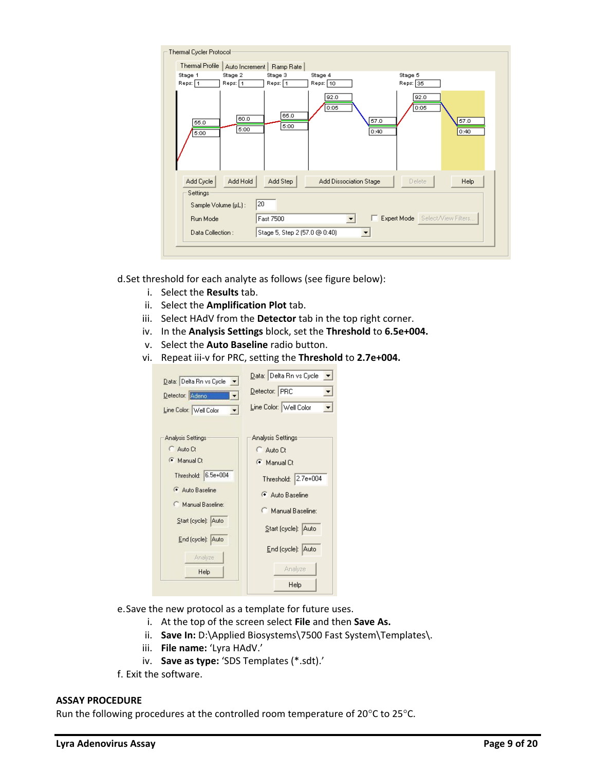| Thermal Cycler Protocol<br><b>Thermal Profile</b> | Auto Increment     | Ramp Rate                     |                              |                                 |  |
|---------------------------------------------------|--------------------|-------------------------------|------------------------------|---------------------------------|--|
| Stage 1<br>Reps: 1                                | Stage 2<br>Reps: 1 | Stage 3<br>Reps: 1            | Stage 4<br>Reps: 10          | Stage 5<br>Reps: 35             |  |
| 55.0<br>5:00                                      | 60.0<br>5:00       | 65.0<br>5:00                  | 92.0<br>0:05<br>57.0<br>0:40 | 92.0<br>0:05<br>57.0<br>0:40    |  |
| Add Cycle<br>Settings                             | Add Hold           | Add Step                      | Add Dissociation Stage       | Help<br>Delete                  |  |
| Sample Volume (µL):                               | 20                 |                               |                              |                                 |  |
| Run Mode                                          |                    | Fast 7500                     |                              | Expert Mode Select/View Filters |  |
| Data Collection:                                  |                    | Stage 5, Step 2 (57.0 @ 0:40) |                              |                                 |  |
|                                                   |                    |                               |                              |                                 |  |

d.Set threshold for each analyte as follows (see figure below):

- i. Select the **Results** tab.
- ii. Select the **Amplification Plot** tab.
- iii. Select HAdV from the **Detector** tab in the top right corner.
- iv. In the **Analysis Settings** block, set the **Threshold** to **6.5e+004.**
- v. Select the **Auto Baseline** radio button.
- vi. Repeat iii-v for PRC, setting the **Threshold** to **2.7e+004.**

| Data: Delta Rn vs Cycle $\vert \mathbf{v} \vert$<br>Detector: Adeno<br>Line Color: Well Color | Data: Delta Rn vs Cycle<br>Detector: PRC<br>▾╎<br>Line Color: Well Color |
|-----------------------------------------------------------------------------------------------|--------------------------------------------------------------------------|
| <b>Analysis Settings</b>                                                                      | Analysis Settings                                                        |
| Auto Ct                                                                                       | C Auto Ct                                                                |
| Manual Ct                                                                                     | <b>C</b> Manual Ct                                                       |
| Threshold: 6.5e+004                                                                           | Threshold: 2.7e+004                                                      |
| Auto Baseline                                                                                 | Auto Baseline                                                            |
| Manual Baseline:                                                                              | Manual Baseline:                                                         |
| Start (cycle): Auto                                                                           | Start (cycle): Auto                                                      |
| End (cycle): Auto                                                                             | End (cycle): Auto                                                        |
| Analyze                                                                                       | Analyze                                                                  |
| Help                                                                                          | Help                                                                     |

- e.Save the new protocol as a template for future uses.
	- i. At the top of the screen select **File** and then **Save As.**
	- ii. **Save In:** D:\Applied Biosystems\7500 Fast System\Templates\.
	- iii. **File name:** 'Lyra HAdV.'
	- iv. **Save as type:** 'SDS Templates (\*.sdt).'
- f. Exit the software.

### **ASSAY PROCEDURE**

Run the following procedures at the controlled room temperature of 20 $^{\circ}$ C to 25 $^{\circ}$ C.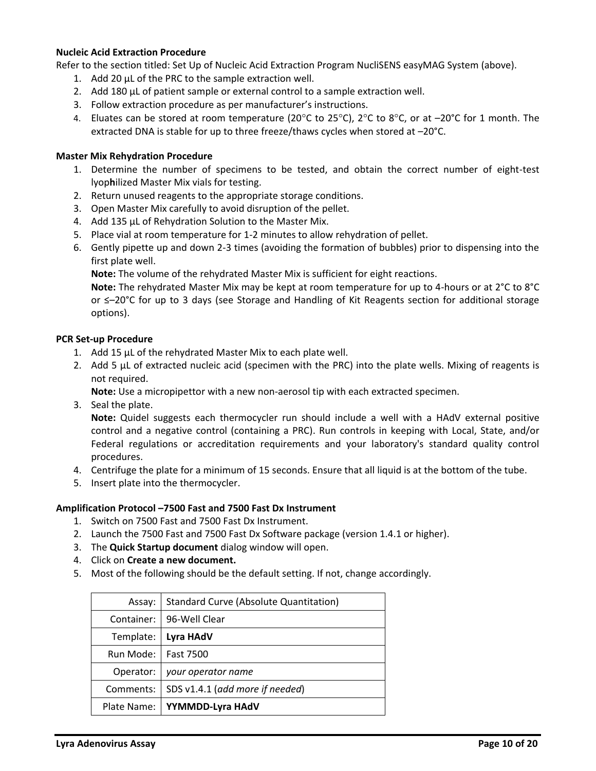### **Nucleic Acid Extraction Procedure**

Refer to the section titled: Set Up of Nucleic Acid Extraction Program NucliSENS easyMAG System (above).

- 1. Add 20 µL of the PRC to the sample extraction well.
- 2. Add 180 µL of patient sample or external control to a sample extraction well.
- 3. Follow extraction procedure as per manufacturer's instructions.
- 4. Eluates can be stored at room temperature (20 $^{\circ}$ C to 25 $^{\circ}$ C), 2 $^{\circ}$ C to 8 $^{\circ}$ C, or at  $-20^{\circ}$ C for 1 month. The extracted DNA is stable for up to three freeze/thaws cycles when stored at –20°C.

#### **Master Mix Rehydration Procedure**

- 1. Determine the number of specimens to be tested, and obtain the correct number of eight-test lyop**h**ilized Master Mix vials for testing.
- 2. Return unused reagents to the appropriate storage conditions.
- 3. Open Master Mix carefully to avoid disruption of the pellet.
- 4. Add 135 µL of Rehydration Solution to the Master Mix.
- 5. Place vial at room temperature for 1-2 minutes to allow rehydration of pellet.
- 6. Gently pipette up and down 2-3 times (avoiding the formation of bubbles) prior to dispensing into the first plate well.

**Note:** The volume of the rehydrated Master Mix is sufficient for eight reactions.

**Note:** The rehydrated Master Mix may be kept at room temperature for up to 4-hours or at 2°C to 8°C or ≤–20°C for up to 3 days (see Storage and Handling of Kit Reagents section for additional storage options).

#### **PCR Set-up Procedure**

- 1. Add 15 µL of the rehydrated Master Mix to each plate well.
- 2. Add 5 µL of extracted nucleic acid (specimen with the PRC) into the plate wells. Mixing of reagents is not required.

**Note:** Use a micropipettor with a new non-aerosol tip with each extracted specimen.

3. Seal the plate.

**Note:** Quidel suggests each thermocycler run should include a well with a HAdV external positive control and a negative control (containing a PRC). Run controls in keeping with Local, State, and/or Federal regulations or accreditation requirements and your laboratory's standard quality control procedures.

- 4. Centrifuge the plate for a minimum of 15 seconds. Ensure that all liquid is at the bottom of the tube.
- 5. Insert plate into the thermocycler.

#### **Amplification Protocol –7500 Fast and 7500 Fast Dx Instrument**

- 1. Switch on 7500 Fast and 7500 Fast Dx Instrument.
- 2. Launch the 7500 Fast and 7500 Fast Dx Software package (version 1.4.1 or higher).
- 3. The **Quick Startup document** dialog window will open.
- 4. Click on **Create a new document.**
- 5. Most of the following should be the default setting. If not, change accordingly.

| Assay:      | <b>Standard Curve (Absolute Quantitation)</b> |
|-------------|-----------------------------------------------|
| Container:  | 96-Well Clear                                 |
| Template:   | Lyra HAdV                                     |
| Run Mode:   | <b>Fast 7500</b>                              |
| Operator:   | your operator name                            |
| Comments:   | SDS v1.4.1 (add more if needed)               |
| Plate Name: | YYMMDD-Lyra HAdV                              |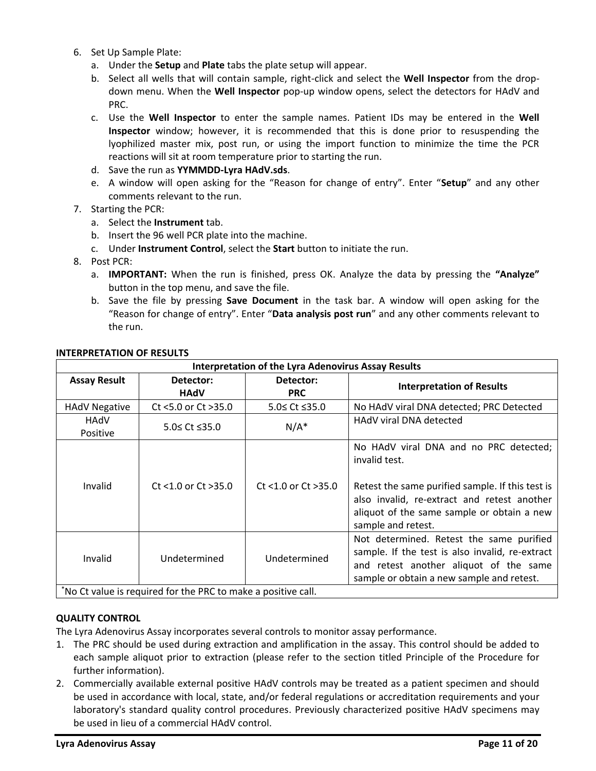- 6. Set Up Sample Plate:
	- a. Under the **Setup** and **Plate** tabs the plate setup will appear.
	- b. Select all wells that will contain sample, right-click and select the **Well Inspector** from the dropdown menu. When the **Well Inspector** pop-up window opens, select the detectors for HAdV and PRC.
	- c. Use the **Well Inspector** to enter the sample names. Patient IDs may be entered in the **Well Inspector** window; however, it is recommended that this is done prior to resuspending the lyophilized master mix, post run, or using the import function to minimize the time the PCR reactions will sit at room temperature prior to starting the run.
	- d. Save the run as **YYMMDD-Lyra HAdV.sds**.
	- e. A window will open asking for the "Reason for change of entry". Enter "**Setup**" and any other comments relevant to the run.
- 7. Starting the PCR:
	- a. Select the **Instrument** tab.
	- b. Insert the 96 well PCR plate into the machine.
	- c. Under **Instrument Control**, select the **Start** button to initiate the run.
- 8. Post PCR:
	- a. **IMPORTANT:** When the run is finished, press OK. Analyze the data by pressing the **"Analyze"** button in the top menu, and save the file.
	- b. Save the file by pressing **Save Document** in the task bar. A window will open asking for the "Reason for change of entry". Enter "**Data analysis post run**" and any other comments relevant to the run.

| <b>Interpretation of the Lyra Adenovirus Assay Results</b>       |                          |                          |                                                                                                                                                                                                                                |  |
|------------------------------------------------------------------|--------------------------|--------------------------|--------------------------------------------------------------------------------------------------------------------------------------------------------------------------------------------------------------------------------|--|
| <b>Assay Result</b>                                              | Detector:<br><b>HAdV</b> | Detector:<br><b>PRC</b>  | <b>Interpretation of Results</b>                                                                                                                                                                                               |  |
| <b>HAdV Negative</b>                                             | Ct <5.0 or Ct >35.0      | 5.0≤ Ct ≤35.0            | No HAdV viral DNA detected; PRC Detected                                                                                                                                                                                       |  |
| HAdV<br>Positive                                                 | 5.0≤ Ct ≤35.0            | $N/A^*$                  | HAdV viral DNA detected                                                                                                                                                                                                        |  |
| Invalid                                                          | $Ct$ <1.0 or $Ct$ >35.0  | $Ct$ <1.0 or $Ct > 35.0$ | No HAdV viral DNA and no PRC detected;<br>invalid test.<br>Retest the same purified sample. If this test is<br>also invalid, re-extract and retest another<br>aliquot of the same sample or obtain a new<br>sample and retest. |  |
| Invalid                                                          | Undetermined             | Undetermined             | Not determined. Retest the same purified<br>sample. If the test is also invalid, re-extract<br>and retest another aliquot of the same<br>sample or obtain a new sample and retest.                                             |  |
| $^*$ No Ct value is required for the PPC to make a positive call |                          |                          |                                                                                                                                                                                                                                |  |

### **INTERPRETATION OF RESULTS**

 $\parallel$  No Ct value is required for the PRC to make a positive call.

## **QUALITY CONTROL**

The Lyra Adenovirus Assay incorporates several controls to monitor assay performance.

- 1. The PRC should be used during extraction and amplification in the assay. This control should be added to each sample aliquot prior to extraction (please refer to the section titled Principle of the Procedure for further information).
- 2. Commercially available external positive HAdV controls may be treated as a patient specimen and should be used in accordance with local, state, and/or federal regulations or accreditation requirements and your laboratory's standard quality control procedures. Previously characterized positive HAdV specimens may be used in lieu of a commercial HAdV control.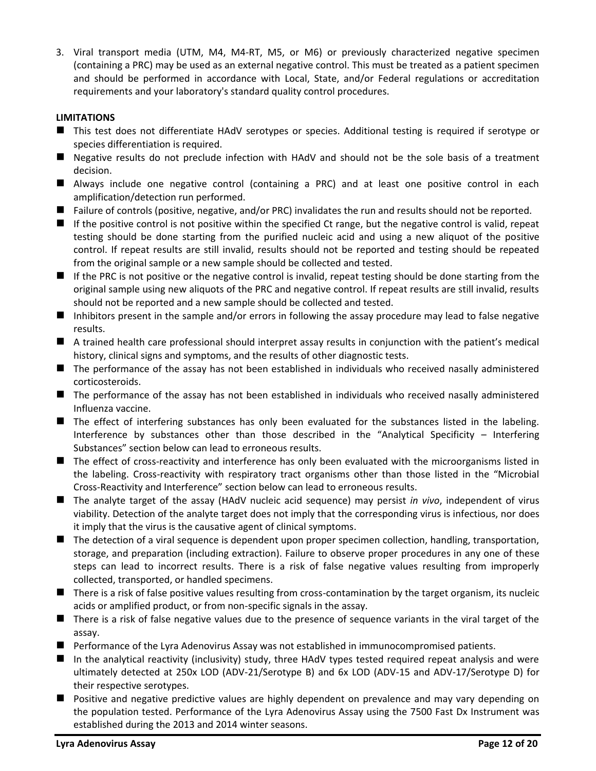3. Viral transport media (UTM, M4, M4-RT, M5, or M6) or previously characterized negative specimen (containing a PRC) may be used as an external negative control. This must be treated as a patient specimen and should be performed in accordance with Local, State, and/or Federal regulations or accreditation requirements and your laboratory's standard quality control procedures.

# **LIMITATIONS**

- This test does not differentiate HAdV serotypes or species. Additional testing is required if serotype or species differentiation is required.
- Negative results do not preclude infection with HAdV and should not be the sole basis of a treatment decision.
- Always include one negative control (containing a PRC) and at least one positive control in each amplification/detection run performed.
- Failure of controls (positive, negative, and/or PRC) invalidates the run and results should not be reported.
- If the positive control is not positive within the specified Ct range, but the negative control is valid, repeat testing should be done starting from the purified nucleic acid and using a new aliquot of the positive control. If repeat results are still invalid, results should not be reported and testing should be repeated from the original sample or a new sample should be collected and tested.
- If the PRC is not positive or the negative control is invalid, repeat testing should be done starting from the original sample using new aliquots of the PRC and negative control. If repeat results are still invalid, results should not be reported and a new sample should be collected and tested.
- Inhibitors present in the sample and/or errors in following the assay procedure may lead to false negative results.
- A trained health care professional should interpret assay results in conjunction with the patient's medical history, clinical signs and symptoms, and the results of other diagnostic tests.
- The performance of the assay has not been established in individuals who received nasally administered corticosteroids.
- The performance of the assay has not been established in individuals who received nasally administered Influenza vaccine.
- The effect of interfering substances has only been evaluated for the substances listed in the labeling. Interference by substances other than those described in the "Analytical Specificity – Interfering Substances" section below can lead to erroneous results.
- The effect of cross-reactivity and interference has only been evaluated with the microorganisms listed in the labeling. Cross-reactivity with respiratory tract organisms other than those listed in the "Microbial Cross-Reactivity and Interference" section below can lead to erroneous results.
- The analyte target of the assay (HAdV nucleic acid sequence) may persist *in vivo*, independent of virus viability. Detection of the analyte target does not imply that the corresponding virus is infectious, nor does it imply that the virus is the causative agent of clinical symptoms.
- The detection of a viral sequence is dependent upon proper specimen collection, handling, transportation, storage, and preparation (including extraction). Failure to observe proper procedures in any one of these steps can lead to incorrect results. There is a risk of false negative values resulting from improperly collected, transported, or handled specimens.
- There is a risk of false positive values resulting from cross-contamination by the target organism, its nucleic acids or amplified product, or from non-specific signals in the assay.
- There is a risk of false negative values due to the presence of sequence variants in the viral target of the assay.
- Performance of the Lyra Adenovirus Assay was not established in immunocompromised patients.
- In the analytical reactivity (inclusivity) study, three HAdV types tested required repeat analysis and were ultimately detected at 250x LOD (ADV-21/Serotype B) and 6x LOD (ADV-15 and ADV-17/Serotype D) for their respective serotypes.
- Positive and negative predictive values are highly dependent on prevalence and may vary depending on the population tested. Performance of the Lyra Adenovirus Assay using the 7500 Fast Dx Instrument was established during the 2013 and 2014 winter seasons.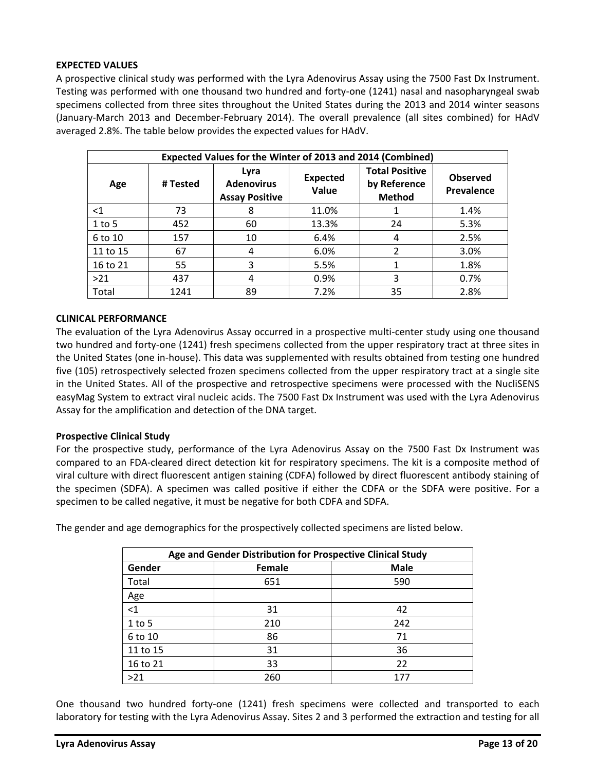## **EXPECTED VALUES**

A prospective clinical study was performed with the Lyra Adenovirus Assay using the 7500 Fast Dx Instrument. Testing was performed with one thousand two hundred and forty-one (1241) nasal and nasopharyngeal swab specimens collected from three sites throughout the United States during the 2013 and 2014 winter seasons (January-March 2013 and December-February 2014). The overall prevalence (all sites combined) for HAdV averaged 2.8%. The table below provides the expected values for HAdV.

| Expected Values for the Winter of 2013 and 2014 (Combined) |          |                                                    |                          |                                                        |                               |
|------------------------------------------------------------|----------|----------------------------------------------------|--------------------------|--------------------------------------------------------|-------------------------------|
| Age                                                        | # Tested | Lyra<br><b>Adenovirus</b><br><b>Assay Positive</b> | <b>Expected</b><br>Value | <b>Total Positive</b><br>by Reference<br><b>Method</b> | <b>Observed</b><br>Prevalence |
| $<$ 1                                                      | 73       | 8                                                  | 11.0%                    |                                                        | 1.4%                          |
| $1$ to 5                                                   | 452      | 60                                                 | 13.3%                    | 24                                                     | 5.3%                          |
| 6 to 10                                                    | 157      | 10                                                 | 6.4%                     | 4                                                      | 2.5%                          |
| 11 to 15                                                   | 67       | 4                                                  | 6.0%                     | $\overline{2}$                                         | 3.0%                          |
| 16 to 21                                                   | 55       | 3                                                  | 5.5%                     |                                                        | 1.8%                          |
| >21                                                        | 437      | 4                                                  | 0.9%                     | 3                                                      | 0.7%                          |
| Total                                                      | 1241     | 89                                                 | 7.2%                     | 35                                                     | 2.8%                          |

### **CLINICAL PERFORMANCE**

The evaluation of the Lyra Adenovirus Assay occurred in a prospective multi-center study using one thousand two hundred and forty-one (1241) fresh specimens collected from the upper respiratory tract at three sites in the United States (one in-house). This data was supplemented with results obtained from testing one hundred five (105) retrospectively selected frozen specimens collected from the upper respiratory tract at a single site in the United States. All of the prospective and retrospective specimens were processed with the NucliSENS easyMag System to extract viral nucleic acids. The 7500 Fast Dx Instrument was used with the Lyra Adenovirus Assay for the amplification and detection of the DNA target.

## **Prospective Clinical Study**

For the prospective study, performance of the Lyra Adenovirus Assay on the 7500 Fast Dx Instrument was compared to an FDA-cleared direct detection kit for respiratory specimens. The kit is a composite method of viral culture with direct fluorescent antigen staining (CDFA) followed by direct fluorescent antibody staining of the specimen (SDFA). A specimen was called positive if either the CDFA or the SDFA were positive. For a specimen to be called negative, it must be negative for both CDFA and SDFA.

The gender and age demographics for the prospectively collected specimens are listed below.

| Age and Gender Distribution for Prospective Clinical Study |        |             |  |
|------------------------------------------------------------|--------|-------------|--|
| Gender                                                     | Female | <b>Male</b> |  |
| Total                                                      | 651    | 590         |  |
| Age                                                        |        |             |  |
| $\leq$ 1                                                   | 31     | 42          |  |
| $1$ to 5                                                   | 210    | 242         |  |
| 6 to 10                                                    | 86     | 71          |  |
| 11 to 15                                                   | 31     | 36          |  |
| 16 to 21                                                   | 33     | 22          |  |
| >21                                                        | 260    | 177         |  |

One thousand two hundred forty-one (1241) fresh specimens were collected and transported to each laboratory for testing with the Lyra Adenovirus Assay. Sites 2 and 3 performed the extraction and testing for all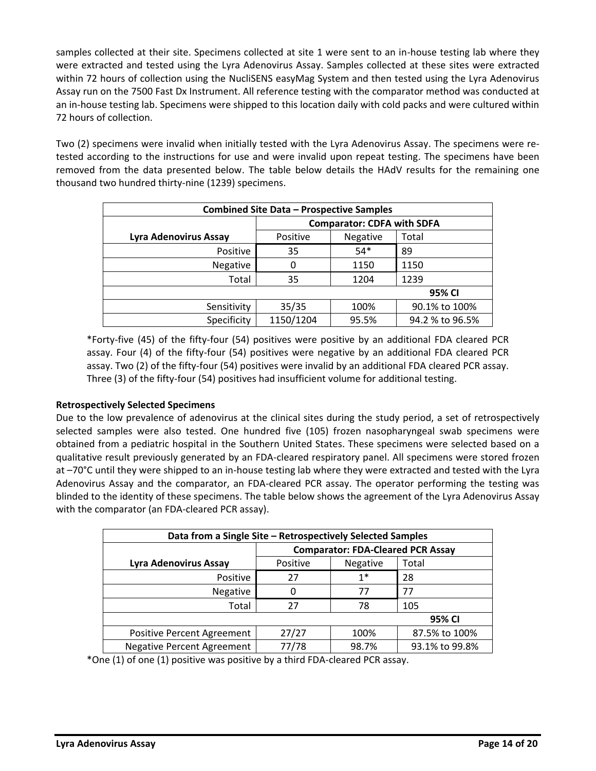samples collected at their site. Specimens collected at site 1 were sent to an in-house testing lab where they were extracted and tested using the Lyra Adenovirus Assay. Samples collected at these sites were extracted within 72 hours of collection using the NucliSENS easyMag System and then tested using the Lyra Adenovirus Assay run on the 7500 Fast Dx Instrument. All reference testing with the comparator method was conducted at an in-house testing lab. Specimens were shipped to this location daily with cold packs and were cultured within 72 hours of collection.

Two (2) specimens were invalid when initially tested with the Lyra Adenovirus Assay. The specimens were retested according to the instructions for use and were invalid upon repeat testing. The specimens have been removed from the data presented below. The table below details the HAdV results for the remaining one thousand two hundred thirty-nine (1239) specimens.

| <b>Combined Site Data - Prospective Samples</b> |                                   |          |                 |  |  |  |
|-------------------------------------------------|-----------------------------------|----------|-----------------|--|--|--|
|                                                 | <b>Comparator: CDFA with SDFA</b> |          |                 |  |  |  |
| Lyra Adenovirus Assay                           | Positive                          | Negative | Total           |  |  |  |
| Positive                                        | 35                                | $54*$    | 89              |  |  |  |
| Negative                                        | 0                                 | 1150     | 1150            |  |  |  |
| Total                                           | 35                                | 1204     | 1239            |  |  |  |
|                                                 | 95% CI                            |          |                 |  |  |  |
| Sensitivity                                     | 35/35                             | 100%     | 90.1% to 100%   |  |  |  |
| Specificity                                     | 1150/1204                         | 95.5%    | 94.2 % to 96.5% |  |  |  |

\*Forty-five (45) of the fifty-four (54) positives were positive by an additional FDA cleared PCR assay. Four (4) of the fifty-four (54) positives were negative by an additional FDA cleared PCR assay. Two (2) of the fifty-four (54) positives were invalid by an additional FDA cleared PCR assay. Three (3) of the fifty-four (54) positives had insufficient volume for additional testing.

# **Retrospectively Selected Specimens**

Due to the low prevalence of adenovirus at the clinical sites during the study period, a set of retrospectively selected samples were also tested. One hundred five (105) frozen nasopharyngeal swab specimens were obtained from a pediatric hospital in the Southern United States. These specimens were selected based on a qualitative result previously generated by an FDA-cleared respiratory panel. All specimens were stored frozen at –70°C until they were shipped to an in-house testing lab where they were extracted and tested with the Lyra Adenovirus Assay and the comparator, an FDA-cleared PCR assay. The operator performing the testing was blinded to the identity of these specimens. The table below shows the agreement of the Lyra Adenovirus Assay with the comparator (an FDA-cleared PCR assay).

| Data from a Single Site - Retrospectively Selected Samples |                                          |          |                |  |  |
|------------------------------------------------------------|------------------------------------------|----------|----------------|--|--|
|                                                            | <b>Comparator: FDA-Cleared PCR Assay</b> |          |                |  |  |
| Lyra Adenovirus Assay                                      | Positive                                 | Negative | Total          |  |  |
| Positive                                                   | 27                                       | $1*$     | 28             |  |  |
| Negative                                                   | 0                                        | 77       | 77             |  |  |
| Total                                                      | 27                                       | 78       | 105            |  |  |
| 95% CI                                                     |                                          |          |                |  |  |
| <b>Positive Percent Agreement</b>                          | 27/27                                    | 100%     | 87.5% to 100%  |  |  |
| <b>Negative Percent Agreement</b>                          | 77/78                                    | 98.7%    | 93.1% to 99.8% |  |  |

\*One (1) of one (1) positive was positive by a third FDA-cleared PCR assay.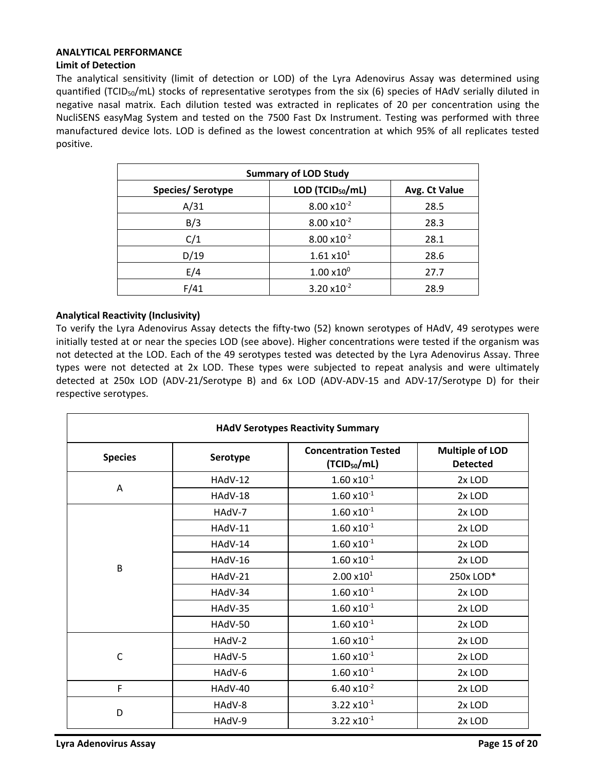### **ANALYTICAL PERFORMANCE**

## **Limit of Detection**

The analytical sensitivity (limit of detection or LOD) of the Lyra Adenovirus Assay was determined using quantified (TCID<sub>50</sub>/mL) stocks of representative serotypes from the six (6) species of HAdV serially diluted in negative nasal matrix. Each dilution tested was extracted in replicates of 20 per concentration using the NucliSENS easyMag System and tested on the 7500 Fast Dx Instrument. Testing was performed with three manufactured device lots. LOD is defined as the lowest concentration at which 95% of all replicates tested positive.

| <b>Summary of LOD Study</b> |                              |               |  |  |
|-----------------------------|------------------------------|---------------|--|--|
| Species/Serotype            | LOD (TCID <sub>50</sub> /mL) | Avg. Ct Value |  |  |
| A/31                        | $8.00 \times 10^{-2}$        | 28.5          |  |  |
| B/3                         | $8.00 \times 10^{-2}$        | 28.3          |  |  |
| C/1                         | $8.00 \times 10^{-2}$        | 28.1          |  |  |
| D/19                        | 1.61 x10 <sup>1</sup>        | 28.6          |  |  |
| E/4                         | $1.00 \times 10^{0}$         | 27.7          |  |  |
| F/41                        | $3.20 \times 10^{-2}$        | 28.9          |  |  |

## **Analytical Reactivity (Inclusivity)**

To verify the Lyra Adenovirus Assay detects the fifty-two (52) known serotypes of HAdV, 49 serotypes were initially tested at or near the species LOD (see above). Higher concentrations were tested if the organism was not detected at the LOD. Each of the 49 serotypes tested was detected by the Lyra Adenovirus Assay. Three types were not detected at 2x LOD. These types were subjected to repeat analysis and were ultimately detected at 250x LOD (ADV-21/Serotype B) and 6x LOD (ADV-ADV-15 and ADV-17/Serotype D) for their respective serotypes.

| <b>HAdV Serotypes Reactivity Summary</b> |          |                                                         |                                           |  |  |
|------------------------------------------|----------|---------------------------------------------------------|-------------------------------------------|--|--|
| <b>Species</b>                           | Serotype | <b>Concentration Tested</b><br>(TCID <sub>50</sub> /mL) | <b>Multiple of LOD</b><br><b>Detected</b> |  |  |
|                                          | HAdV-12  | $1.60 \times 10^{-1}$                                   | 2x LOD                                    |  |  |
| Α                                        | HAdV-18  | $1.60 \times 10^{-1}$                                   | 2x LOD                                    |  |  |
|                                          | HAdV-7   | $1.60 \times 10^{-1}$                                   | 2x LOD                                    |  |  |
|                                          | HAdV-11  | $1.60 \times 10^{-1}$                                   | 2x LOD                                    |  |  |
|                                          | HAdV-14  | $1.60 \times 10^{-1}$                                   | 2x LOD                                    |  |  |
| B                                        | HAdV-16  | $1.60 \times 10^{-1}$                                   | 2x LOD                                    |  |  |
|                                          | HAdV-21  | $2.00 \times 10^{1}$                                    | 250x LOD*                                 |  |  |
|                                          | HAdV-34  | $1.60 \times 10^{-1}$                                   | 2x LOD                                    |  |  |
|                                          | HAdV-35  | $1.60 \times 10^{-1}$                                   | 2x LOD                                    |  |  |
|                                          | HAdV-50  | $1.60 \times 10^{-1}$                                   | 2x LOD                                    |  |  |
|                                          | HAdV-2   | $1.60 \times 10^{-1}$                                   | 2x LOD                                    |  |  |
| $\mathsf{C}$                             | HAdV-5   | $1.60 \times 10^{-1}$                                   | 2x LOD                                    |  |  |
|                                          | HAdV-6   | $1.60 \times 10^{-1}$                                   | 2x LOD                                    |  |  |
| F                                        | HAdV-40  | $6.40 \times 10^{-2}$                                   | 2x LOD                                    |  |  |
| D                                        | HAdV-8   | $3.22 \times 10^{-1}$                                   | 2x LOD                                    |  |  |
|                                          | HAdV-9   | $3.22 \times 10^{-1}$                                   | 2x LOD                                    |  |  |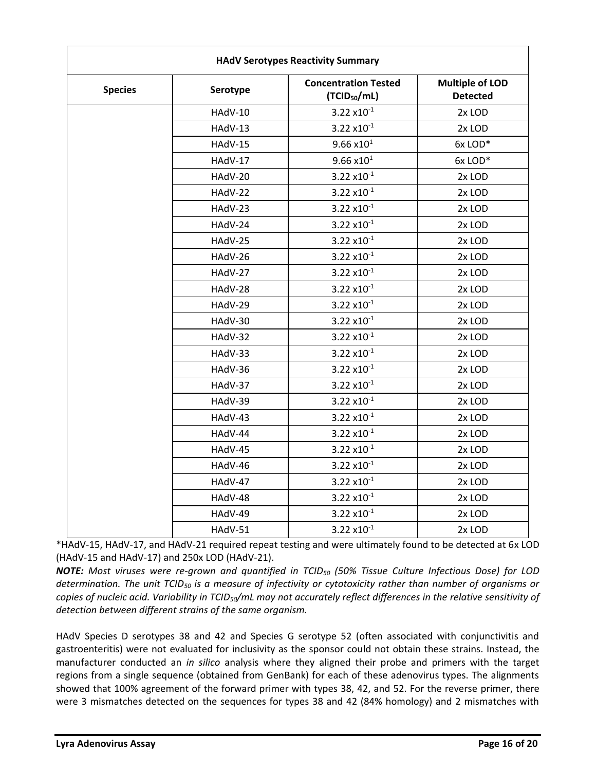| <b>Species</b> | Serotype | <b>Concentration Tested</b><br>(TCID <sub>50</sub> /mL) | <b>Multiple of LOD</b><br><b>Detected</b> |  |  |
|----------------|----------|---------------------------------------------------------|-------------------------------------------|--|--|
|                | HAdV-10  | $3.22 \times 10^{-1}$                                   | 2x LOD                                    |  |  |
|                | HAdV-13  | $3.22 \times 10^{-1}$                                   | 2x LOD                                    |  |  |
|                | HAdV-15  | $9.66 \times 10^{1}$                                    | 6x LOD*                                   |  |  |
|                | HAdV-17  | $9.66 \times 10^{1}$                                    | 6x LOD*                                   |  |  |
|                | HAdV-20  | $3.22 \times 10^{-1}$                                   | 2x LOD                                    |  |  |
|                | HAdV-22  | $3.22 \times 10^{-1}$                                   | 2x LOD                                    |  |  |
|                | HAdV-23  | $3.22 \times 10^{-1}$                                   | 2x LOD                                    |  |  |
|                | HAdV-24  | $3.22 \times 10^{-1}$                                   | 2x LOD                                    |  |  |
|                | HAdV-25  | $3.22 \times 10^{-1}$                                   | 2x LOD                                    |  |  |
|                | HAdV-26  | $3.22 \times 10^{-1}$                                   | 2x LOD                                    |  |  |
|                | HAdV-27  | $3.22 \times 10^{-1}$                                   | 2x LOD                                    |  |  |
|                | HAdV-28  | $3.22 \times 10^{-1}$                                   | 2x LOD                                    |  |  |
|                | HAdV-29  | $3.22 \times 10^{-1}$                                   | 2x LOD                                    |  |  |
|                | HAdV-30  | $3.22 \times 10^{-1}$                                   | 2x LOD                                    |  |  |
|                | HAdV-32  | $3.22 \times 10^{-1}$                                   | 2x LOD                                    |  |  |
|                | HAdV-33  | $3.22 \times 10^{-1}$                                   | 2x LOD                                    |  |  |
|                | HAdV-36  | $3.22 \times 10^{-1}$                                   | 2x LOD                                    |  |  |
|                | HAdV-37  | $3.22 \times 10^{-1}$                                   | 2x LOD                                    |  |  |
|                | HAdV-39  | $3.22 \times 10^{-1}$                                   | 2x LOD                                    |  |  |
|                | HAdV-43  | $3.22 \times 10^{-1}$                                   | 2x LOD                                    |  |  |
|                | HAdV-44  | $3.22 \times 10^{-1}$                                   | 2x LOD                                    |  |  |
|                | HAdV-45  | $3.22 \times 10^{-1}$                                   | 2x LOD                                    |  |  |
|                | HAdV-46  | $3.22 \times 10^{-1}$                                   | 2x LOD                                    |  |  |
|                | HAdV-47  | $3.22 \times 10^{-1}$                                   | 2x LOD                                    |  |  |
|                | HAdV-48  | $3.22 \times 10^{-1}$                                   | 2x LOD                                    |  |  |
|                | HAdV-49  | $3.22 \times 10^{-1}$                                   | 2x LOD                                    |  |  |
|                | HAdV-51  | $3.22 \times 10^{-1}$                                   | 2x LOD                                    |  |  |

\*HAdV-15, HAdV-17, and HAdV-21 required repeat testing and were ultimately found to be detected at 6x LOD (HAdV-15 and HAdV-17) and 250x LOD (HAdV-21).

*NOTE: Most viruses were re-grown and quantified in TCID<sup>50</sup> (50% Tissue Culture Infectious Dose) for LOD determination. The unit TCID<sup>50</sup> is a measure of infectivity or cytotoxicity rather than number of organisms or copies of nucleic acid. Variability in TCID50/mL may not accurately reflect differences in the relative sensitivity of detection between different strains of the same organism.*

HAdV Species D serotypes 38 and 42 and Species G serotype 52 (often associated with conjunctivitis and gastroenteritis) were not evaluated for inclusivity as the sponsor could not obtain these strains. Instead, the manufacturer conducted an *in silico* analysis where they aligned their probe and primers with the target regions from a single sequence (obtained from GenBank) for each of these adenovirus types. The alignments showed that 100% agreement of the forward primer with types 38, 42, and 52. For the reverse primer, there were 3 mismatches detected on the sequences for types 38 and 42 (84% homology) and 2 mismatches with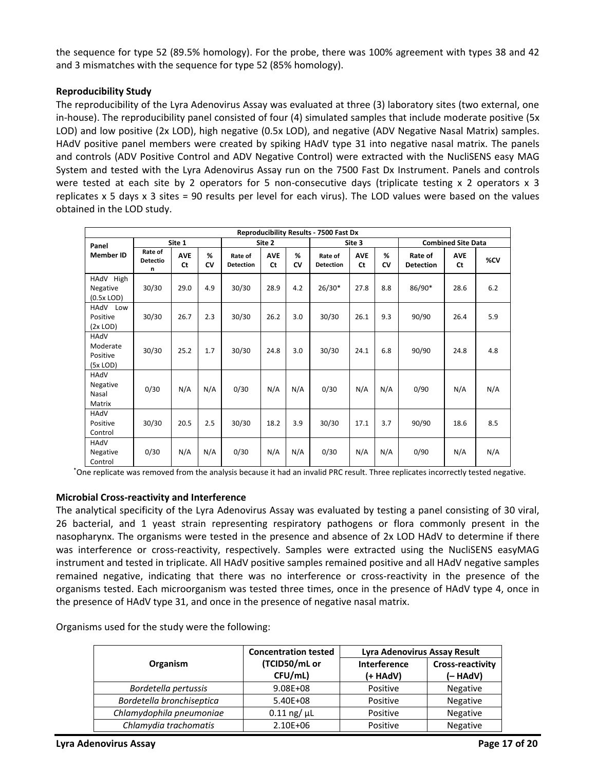the sequence for type 52 (89.5% homology). For the probe, there was 100% agreement with types 38 and 42 and 3 mismatches with the sequence for type 52 (85% homology).

# **Reproducibility Study**

The reproducibility of the Lyra Adenovirus Assay was evaluated at three (3) laboratory sites (two external, one in-house). The reproducibility panel consisted of four (4) simulated samples that include moderate positive (5x LOD) and low positive (2x LOD), high negative (0.5x LOD), and negative (ADV Negative Nasal Matrix) samples. HAdV positive panel members were created by spiking HAdV type 31 into negative nasal matrix. The panels and controls (ADV Positive Control and ADV Negative Control) were extracted with the NucliSENS easy MAG System and tested with the Lyra Adenovirus Assay run on the 7500 Fast Dx Instrument. Panels and controls were tested at each site by 2 operators for 5 non-consecutive days (triplicate testing  $x$  2 operators  $x$  3 replicates x 5 days x 3 sites = 90 results per level for each virus). The LOD values were based on the values obtained in the LOD study.

| <b>Reproducibility Results - 7500 Fast Dx</b> |                                 |                         |         |                             |                         |         |                             |                  |         |                             |                           |     |
|-----------------------------------------------|---------------------------------|-------------------------|---------|-----------------------------|-------------------------|---------|-----------------------------|------------------|---------|-----------------------------|---------------------------|-----|
| Panel                                         |                                 | Site 1                  |         |                             | Site 2                  |         |                             | Site 3           |         |                             | <b>Combined Site Data</b> |     |
| <b>Member ID</b>                              | Rate of<br><b>Detectio</b><br>n | <b>AVE</b><br><b>Ct</b> | %<br>CV | Rate of<br><b>Detection</b> | <b>AVE</b><br><b>Ct</b> | %<br>CV | Rate of<br><b>Detection</b> | <b>AVE</b><br>Ct | %<br>CV | Rate of<br><b>Detection</b> | <b>AVE</b><br><b>Ct</b>   | %CV |
| HAdV<br>High<br>Negative<br>$(0.5x$ LOD)      | 30/30                           | 29.0                    | 4.9     | 30/30                       | 28.9                    | 4.2     | $26/30*$                    | 27.8             | 8.8     | 86/90*                      | 28.6                      | 6.2 |
| HAdV<br>Low<br>Positive<br>$(2x$ LOD)         | 30/30                           | 26.7                    | 2.3     | 30/30                       | 26.2                    | 3.0     | 30/30                       | 26.1             | 9.3     | 90/90                       | 26.4                      | 5.9 |
| HAdV<br>Moderate<br>Positive<br>$(5x$ LOD)    | 30/30                           | 25.2                    | 1.7     | 30/30                       | 24.8                    | 3.0     | 30/30                       | 24.1             | 6.8     | 90/90                       | 24.8                      | 4.8 |
| HAdV<br>Negative<br>Nasal<br>Matrix           | 0/30                            | N/A                     | N/A     | 0/30                        | N/A                     | N/A     | 0/30                        | N/A              | N/A     | 0/90                        | N/A                       | N/A |
| HAdV<br>Positive<br>Control                   | 30/30                           | 20.5                    | 2.5     | 30/30                       | 18.2                    | 3.9     | 30/30                       | 17.1             | 3.7     | 90/90                       | 18.6                      | 8.5 |
| HAdV<br>Negative<br>Control                   | 0/30                            | N/A                     | N/A     | 0/30                        | N/A                     | N/A     | 0/30                        | N/A              | N/A     | 0/90                        | N/A                       | N/A |

\*One replicate was removed from the analysis because it had an invalid PRC result. Three replicates incorrectly tested negative.

## **Microbial Cross-reactivity and Interference**

The analytical specificity of the Lyra Adenovirus Assay was evaluated by testing a panel consisting of 30 viral, 26 bacterial, and 1 yeast strain representing respiratory pathogens or flora commonly present in the nasopharynx. The organisms were tested in the presence and absence of 2x LOD HAdV to determine if there was interference or cross-reactivity, respectively. Samples were extracted using the NucliSENS easyMAG instrument and tested in triplicate. All HAdV positive samples remained positive and all HAdV negative samples remained negative, indicating that there was no interference or cross-reactivity in the presence of the organisms tested. Each microorganism was tested three times, once in the presence of HAdV type 4, once in the presence of HAdV type 31, and once in the presence of negative nasal matrix.

Organisms used for the study were the following:

|                           | <b>Concentration tested</b> | Lyra Adenovirus Assay Result |                                     |  |  |
|---------------------------|-----------------------------|------------------------------|-------------------------------------|--|--|
| <b>Organism</b>           | (TCID50/mL or<br>CFU/mL)    | Interference<br>(+ HAdV)     | <b>Cross-reactivity</b><br>(- HAdV) |  |  |
| Bordetella pertussis      | $9.08E + 08$                | Positive                     | Negative                            |  |  |
| Bordetella bronchiseptica | 5.40E+08                    | Positive                     | <b>Negative</b>                     |  |  |
| Chlamydophila pneumoniae  | $0.11$ ng/ $\mu$ L          | Positive                     | Negative                            |  |  |
| Chlamydia trachomatis     | 2.10E+06                    | Positive                     | Negative                            |  |  |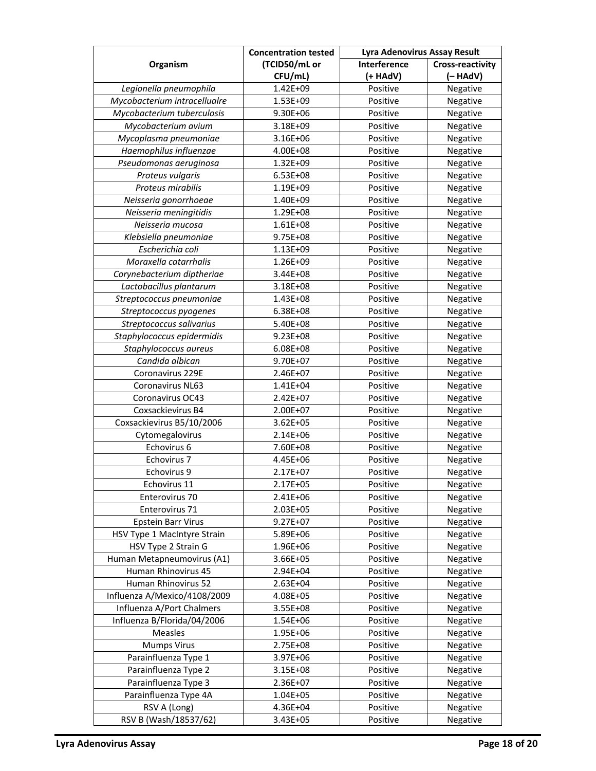|                              | <b>Concentration tested</b> | Lyra Adenovirus Assay Result |                         |  |  |
|------------------------------|-----------------------------|------------------------------|-------------------------|--|--|
| Organism                     | (TCID50/mL or               | Interference                 | <b>Cross-reactivity</b> |  |  |
|                              | CFU/mL)                     | (+ HAdV)                     | $(-HAdV)$               |  |  |
| Legionella pneumophila       | 1.42E+09                    | Positive                     | Negative                |  |  |
| Mycobacterium intracellualre | 1.53E+09                    | Positive                     | Negative                |  |  |
| Mycobacterium tuberculosis   | 9.30E+06                    | Positive                     | Negative                |  |  |
| Mycobacterium avium          | 3.18E+09                    | Positive                     | Negative                |  |  |
| Mycoplasma pneumoniae        | 3.16E+06                    | Positive                     | Negative                |  |  |
| Haemophilus influenzae       | 4.00E+08                    | Positive                     | Negative                |  |  |
| Pseudomonas aeruginosa       | 1.32E+09                    | Positive                     | Negative                |  |  |
| Proteus vulgaris             | 6.53E+08                    | Positive                     | Negative                |  |  |
| Proteus mirabilis            | 1.19E+09                    | Positive                     | Negative                |  |  |
| Neisseria gonorrhoeae        | 1.40E+09                    | Positive                     | Negative                |  |  |
| Neisseria meningitidis       | 1.29E+08                    | Positive                     | Negative                |  |  |
| Neisseria mucosa             | $1.61E + 08$                | Positive                     | Negative                |  |  |
| Klebsiella pneumoniae        | 9.75E+08                    | Positive                     | Negative                |  |  |
| Escherichia coli             | 1.13E+09                    | Positive                     | Negative                |  |  |
| Moraxella catarrhalis        | 1.26E+09                    | Positive                     | Negative                |  |  |
| Corynebacterium diptheriae   | 3.44E+08                    | Positive                     | Negative                |  |  |
| Lactobacillus plantarum      | 3.18E+08                    | Positive                     | Negative                |  |  |
| Streptococcus pneumoniae     | 1.43E+08                    | Positive                     | Negative                |  |  |
| Streptococcus pyogenes       | 6.38E+08                    | Positive                     | Negative                |  |  |
| Streptococcus salivarius     | 5.40E+08                    | Positive                     | Negative                |  |  |
| Staphylococcus epidermidis   | 9.23E+08                    | Positive                     | Negative                |  |  |
| Staphylococcus aureus        | 6.08E+08                    | Positive                     | Negative                |  |  |
| Candida albican              | 9.70E+07                    | Positive                     | Negative                |  |  |
| Coronavirus 229E             | 2.46E+07                    | Positive                     | Negative                |  |  |
| Coronavirus NL63             | $1.41E + 04$                | Positive                     | Negative                |  |  |
| Coronavirus OC43             | 2.42E+07                    | Positive                     | Negative                |  |  |
| Coxsackievirus B4            | 2.00E+07                    | Positive                     | Negative                |  |  |
| Coxsackievirus B5/10/2006    | $3.62E + 05$                | Positive                     | Negative                |  |  |
| Cytomegalovirus              | 2.14E+06                    | Positive                     | Negative                |  |  |
| Echovirus 6                  | 7.60E+08                    | Positive                     | Negative                |  |  |
| Echovirus 7                  | 4.45E+06                    | Positive                     | Negative                |  |  |
| Echovirus 9                  | 2.17E+07                    | Positive                     | Negative                |  |  |
| Echovirus 11                 | 2.17E+05                    | Positive                     | Negative                |  |  |
| Enterovirus 70               | 2.41E+06                    | Positive                     | Negative                |  |  |
| Enterovirus 71               | 2.03E+05                    | Positive                     | Negative                |  |  |
| <b>Epstein Barr Virus</b>    | $9.27E + 07$                | Positive                     | Negative                |  |  |
| HSV Type 1 MacIntyre Strain  | 5.89E+06                    | Positive                     | Negative                |  |  |
| HSV Type 2 Strain G          | 1.96E+06                    | Positive                     | Negative                |  |  |
| Human Metapneumovirus (A1)   | 3.66E+05                    | Positive                     | Negative                |  |  |
| Human Rhinovirus 45          | 2.94E+04                    | Positive                     | Negative                |  |  |
| Human Rhinovirus 52          | 2.63E+04                    | Positive                     | Negative                |  |  |
| Influenza A/Mexico/4108/2009 | 4.08E+05                    | Positive                     | Negative                |  |  |
| Influenza A/Port Chalmers    | 3.55E+08                    | Positive                     | Negative                |  |  |
| Influenza B/Florida/04/2006  | 1.54E+06                    | Positive                     | Negative                |  |  |
| Measles                      | 1.95E+06                    | Positive                     | Negative                |  |  |
| <b>Mumps Virus</b>           | 2.75E+08                    | Positive                     | Negative                |  |  |
| Parainfluenza Type 1         | 3.97E+06                    | Positive                     | Negative                |  |  |
| Parainfluenza Type 2         | 3.15E+08                    | Positive                     | Negative                |  |  |
| Parainfluenza Type 3         | 2.36E+07                    | Positive                     | Negative                |  |  |
| Parainfluenza Type 4A        | 1.04E+05                    | Positive                     | Negative                |  |  |
| RSV A (Long)                 | 4.36E+04                    | Positive                     | Negative                |  |  |
| RSV B (Wash/18537/62)        | 3.43E+05                    | Positive                     | Negative                |  |  |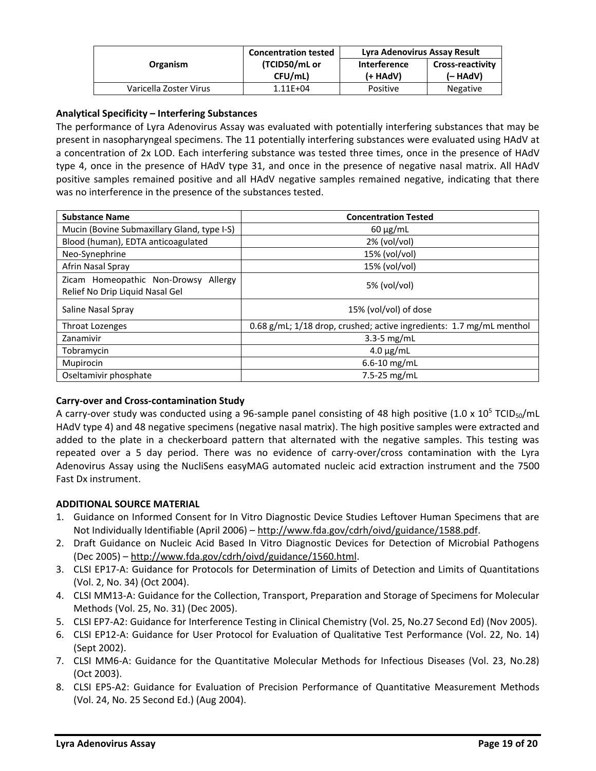|                        | <b>Concentration tested</b> | Lyra Adenovirus Assay Result |                         |  |
|------------------------|-----------------------------|------------------------------|-------------------------|--|
| <b>Organism</b>        | (TCID50/mL or               | <b>Interference</b>          | <b>Cross-reactivity</b> |  |
|                        | CFU/mL)                     | (+ HAdV)                     | (– HAdV)                |  |
| Varicella Zoster Virus | $1.11E + 04$                | Positive                     | <b>Negative</b>         |  |

# **Analytical Specificity – Interfering Substances**

The performance of Lyra Adenovirus Assay was evaluated with potentially interfering substances that may be present in nasopharyngeal specimens. The 11 potentially interfering substances were evaluated using HAdV at a concentration of 2x LOD. Each interfering substance was tested three times, once in the presence of HAdV type 4, once in the presence of HAdV type 31, and once in the presence of negative nasal matrix. All HAdV positive samples remained positive and all HAdV negative samples remained negative, indicating that there was no interference in the presence of the substances tested.

| <b>Substance Name</b>                                                      | <b>Concentration Tested</b>                                          |
|----------------------------------------------------------------------------|----------------------------------------------------------------------|
| Mucin (Bovine Submaxillary Gland, type I-S)                                | $60 \mu g/mL$                                                        |
| Blood (human), EDTA anticoagulated                                         | $2\%$ (vol/vol)                                                      |
| Neo-Synephrine                                                             | 15% (vol/vol)                                                        |
| Afrin Nasal Spray                                                          | 15% (vol/vol)                                                        |
| Zicam Homeopathic Non-Drowsy<br>Allergy<br>Relief No Drip Liquid Nasal Gel | 5% (vol/vol)                                                         |
| Saline Nasal Spray                                                         | 15% (vol/vol) of dose                                                |
| <b>Throat Lozenges</b>                                                     | 0.68 g/mL; 1/18 drop, crushed; active ingredients: 1.7 mg/mL menthol |
| Zanamivir                                                                  | $3.3 - 5$ mg/mL                                                      |
| Tobramycin                                                                 | $4.0 \mu g/mL$                                                       |
| Mupirocin                                                                  | $6.6 - 10$ mg/mL                                                     |
| Oseltamivir phosphate                                                      | 7.5-25 mg/mL                                                         |

## **Carry-over and Cross-contamination Study**

A carry-over study was conducted using a 96-sample panel consisting of 48 high positive (1.0 x  $10^5$  TCID<sub>50</sub>/mL HAdV type 4) and 48 negative specimens (negative nasal matrix). The high positive samples were extracted and added to the plate in a checkerboard pattern that alternated with the negative samples. This testing was repeated over a 5 day period. There was no evidence of carry-over/cross contamination with the Lyra Adenovirus Assay using the NucliSens easyMAG automated nucleic acid extraction instrument and the 7500 Fast Dx instrument.

## **ADDITIONAL SOURCE MATERIAL**

- 1. Guidance on Informed Consent for In Vitro Diagnostic Device Studies Leftover Human Specimens that are Not Individually Identifiable (April 2006) – [http://www.fda.gov/cdrh/oivd/guidance/1588.pdf.](http://www.fda.gov/cdrh/oivd/guidance/1588.pdf)
- 2. Draft Guidance on Nucleic Acid Based In Vitro Diagnostic Devices for Detection of Microbial Pathogens (Dec 2005) – [http://www.fda.gov/cdrh/oivd/guidance/1560.html.](http://www.fda.gov/cdrh/oivd/guidance/1560.html)
- 3. CLSI EP17-A: Guidance for Protocols for Determination of Limits of Detection and Limits of Quantitations (Vol. 2, No. 34) (Oct 2004).
- 4. CLSI MM13-A: Guidance for the Collection, Transport, Preparation and Storage of Specimens for Molecular Methods (Vol. 25, No. 31) (Dec 2005).
- 5. CLSI EP7-A2: Guidance for Interference Testing in Clinical Chemistry (Vol. 25, No.27 Second Ed) (Nov 2005).
- 6. CLSI EP12-A: Guidance for User Protocol for Evaluation of Qualitative Test Performance (Vol. 22, No. 14) (Sept 2002).
- 7. CLSI MM6-A: Guidance for the Quantitative Molecular Methods for Infectious Diseases (Vol. 23, No.28) (Oct 2003).
- 8. CLSI EP5-A2: Guidance for Evaluation of Precision Performance of Quantitative Measurement Methods (Vol. 24, No. 25 Second Ed.) (Aug 2004).